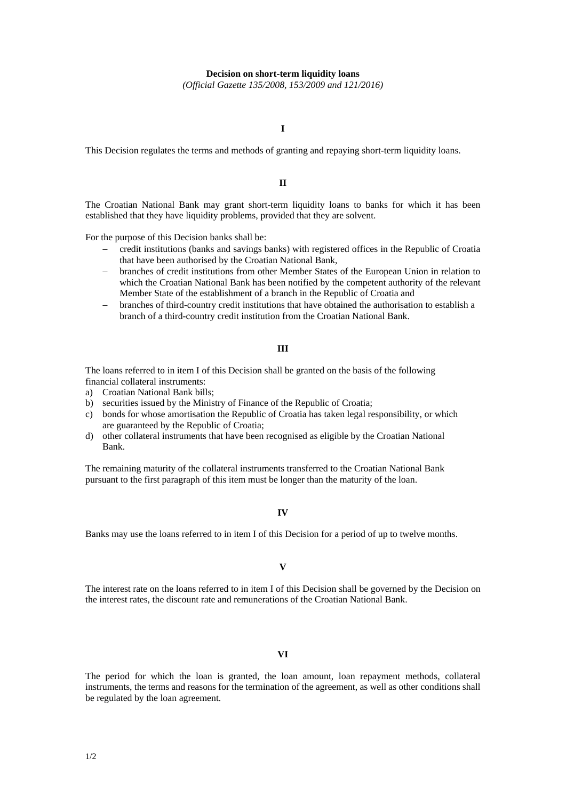### **Decision on short-term liquidity loans**

*(Official Gazette 135/2008, 153/2009 and 121/2016)*

## **I**

This Decision regulates the terms and methods of granting and repaying short-term liquidity loans.

## **II**

The Croatian National Bank may grant short-term liquidity loans to banks for which it has been established that they have liquidity problems, provided that they are solvent.

For the purpose of this Decision banks shall be:

- credit institutions (banks and savings banks) with registered offices in the Republic of Croatia that have been authorised by the Croatian National Bank,
- branches of credit institutions from other Member States of the European Union in relation to which the Croatian National Bank has been notified by the competent authority of the relevant Member State of the establishment of a branch in the Republic of Croatia and
- branches of third-country credit institutions that have obtained the authorisation to establish a branch of a third-country credit institution from the Croatian National Bank.

### **III**

The loans referred to in item I of this Decision shall be granted on the basis of the following financial collateral instruments:

- a) Croatian National Bank bills;
- b) securities issued by the Ministry of Finance of the Republic of Croatia;
- c) bonds for whose amortisation the Republic of Croatia has taken legal responsibility, or which are guaranteed by the Republic of Croatia;
- d) other collateral instruments that have been recognised as eligible by the Croatian National Bank.

The remaining maturity of the collateral instruments transferred to the Croatian National Bank pursuant to the first paragraph of this item must be longer than the maturity of the loan.

#### **IV**

Banks may use the loans referred to in item I of this Decision for a period of up to twelve months.

**V** 

The interest rate on the loans referred to in item I of this Decision shall be governed by the Decision on the interest rates, the discount rate and remunerations of the Croatian National Bank.

# **VI**

The period for which the loan is granted, the loan amount, loan repayment methods, collateral instruments, the terms and reasons for the termination of the agreement, as well as other conditions shall be regulated by the loan agreement.